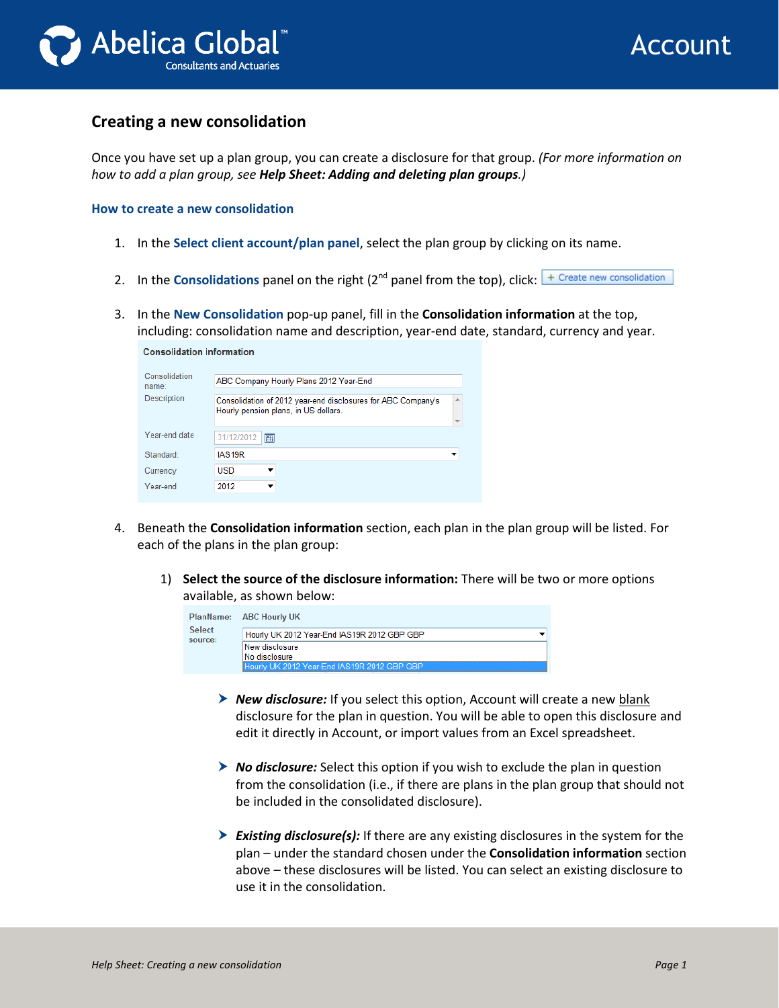

## **Creating a new consolidation**

Once you have set up a plan group, you can create a disclosure for that group. *(For more information on how to add a plan group, see Help Sheet: Adding and deleting plan groups.)*

**How to create a new consolidation**

**Consolidation information** 

- 1. In the **Select client account/plan panel**, select the plan group by clicking on its name.
- 2. In the **Consolidations** panel on the right (2<sup>nd</sup> panel from the top), click: <sup>+ Create new consolidation</sup>
- 3. In the **New Consolidation** pop-up panel, fill in the **Consolidation information** at the top, including: consolidation name and description, year-end date, standard, currency and year.

| Consolidation<br>name: | ABC Company Hourly Plans 2012 Year-End                                                                    |  |
|------------------------|-----------------------------------------------------------------------------------------------------------|--|
| Description            | A<br>Consolidation of 2012 year-end disclosures for ABC Company's<br>Hourly pension plans, in US dollars. |  |
| Year-end date          | 31/12/2012<br>圃                                                                                           |  |
| Standard:              | IAS <sub>19R</sub>                                                                                        |  |
| Currency               | USD                                                                                                       |  |
| Year-end               | 2012                                                                                                      |  |

- 4. Beneath the **Consolidation information** section, each plan in the plan group will be listed. For each of the plans in the plan group:
	- 1) **Select the source of the disclosure information:** There will be two or more options available, as shown below:

|                   | PlanName: ABC Hourly UK                     |
|-------------------|---------------------------------------------|
| Select<br>source: | Hourly UK 2012 Year-End IAS19R 2012 GBP GBP |
|                   | New disclosure<br>No disclosure             |
|                   | Hourly UK 2012 Year-Fnd IAS19R 2012 GBP GBP |

- *New disclosure:* If you select this option, Account will create a new blank disclosure for the plan in question. You will be able to open this disclosure and edit it directly in Account, or import values from an Excel spreadsheet.
- *No disclosure:* Select this option if you wish to exclude the plan in question from the consolidation (i.e., if there are plans in the plan group that should not be included in the consolidated disclosure).
- *Existing disclosure(s):* If there are any existing disclosures in the system for the plan – under the standard chosen under the **Consolidation information** section above – these disclosures will be listed. You can select an existing disclosure to use it in the consolidation.